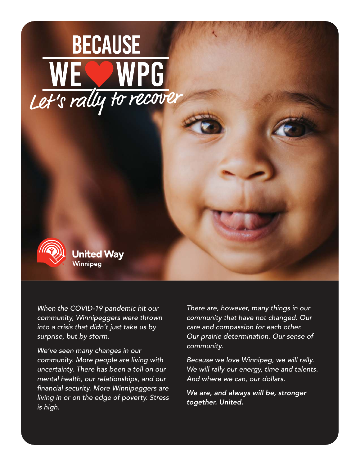# **BECAUSE** WE WPG<br>Let's rally to recover



**United Way** Winnipea

When the COVID-19 pandemic hit our community, Winnipeggers were thrown into a crisis that didn't just take us by surprise, but by storm.

We've seen many changes in our community. More people are living with uncertainty. There has been a toll on our mental health, our relationships, and our financial security. More Winnipeggers are living in or on the edge of poverty. Stress is high.

There are, however, many things in our community that have not changed. Our care and compassion for each other. Our prairie determination. Our sense of community.

Because we love Winnipeg, we will rally. We will rally our energy, time and talents. And where we can, our dollars.

We are, and always will be, stronger together. United.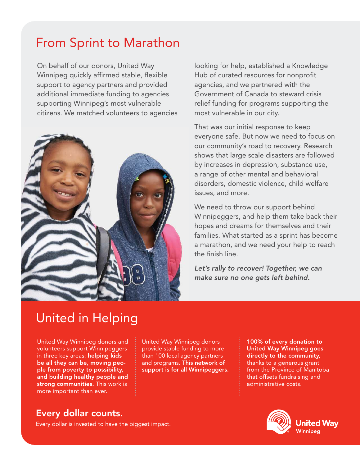#### From Sprint to Marathon

On behalf of our donors, United Way Winnipeg quickly affirmed stable, flexible support to agency partners and provided additional immediate funding to agencies supporting Winnipeg's most vulnerable citizens. We matched volunteers to agencies



looking for help, established a Knowledge Hub of curated resources for nonprofit agencies, and we partnered with the Government of Canada to steward crisis relief funding for programs supporting the most vulnerable in our city.

That was our initial response to keep everyone safe. But now we need to focus on our community's road to recovery. Research shows that large scale disasters are followed by increases in depression, substance use, a range of other mental and behavioral disorders, domestic violence, child welfare issues, and more.

We need to throw our support behind Winnipeggers, and help them take back their hopes and dreams for themselves and their families. What started as a sprint has become a marathon, and we need your help to reach the finish line.

Let's rally to recover! Together, we can make sure no one gets left behind.

#### United in Helping

United Way Winnipeg donors and volunteers support Winnipeggers in three key areas: helping kids be all they can be, moving people from poverty to possibility, and building healthy people and strong communities. This work is more important than ever.

United Way Winnipeg donors provide stable funding to more than 100 local agency partners and programs. This network of support is for all Winnipeggers.

100% of every donation to United Way Winnipeg goes directly to the community, thanks to a generous grant from the Province of Manitoba that offsets fundraising and administrative costs.

#### Every dollar counts.

Every dollar is invested to have the biggest impact.



**United Way** Winnipeg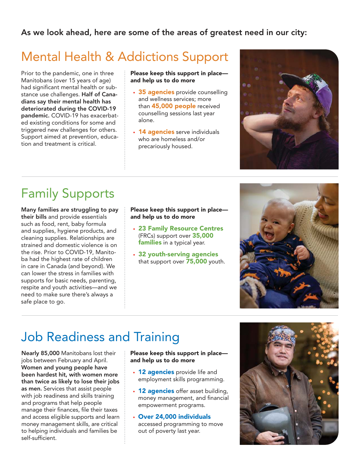#### As we look ahead, here are some of the areas of greatest need in our city:

### Mental Health & Addictions Support

Prior to the pandemic, one in three Manitobans (over 15 years of age) had significant mental health or substance use challenges. Half of Canadians say their mental health has deteriorated during the COVID-19 pandemic. COVID-19 has exacerbated existing conditions for some and triggered new challenges for others. Support aimed at prevention, education and treatment is critical.

Please keep this support in place and help us to do more

- 35 agencies provide counselling and wellness services; more than **45,000 people** received counselling sessions last year alone.
- 14 agencies serve individuals who are homeless and/or precariously housed.



## Family Supports

Many families are struggling to pay their bills and provide essentials such as food, rent, baby formula and supplies, hygiene products, and cleaning supplies. Relationships are strained and domestic violence is on the rise. Prior to COVID-19, Manitoba had the highest rate of children in care in Canada (and beyond). We can lower the stress in families with supports for basic needs, parenting, respite and youth activities—and we need to make sure there's always a safe place to go.

Please keep this support in place and help us to do more

- 23 Family Resource Centres (FRCs) support over 35,000 families in a typical year.
- 32 youth-serving agencies that support over 75,000 youth.



## Job Readiness and Training

Nearly 85,000 Manitobans lost their jobs between February and April. Women and young people have been hardest hit, with women more than twice as likely to lose their jobs as men. Services that assist people with job readiness and skills training and programs that help people manage their finances, file their taxes and access eligible supports and learn money management skills, are critical to helping individuals and families be self-sufficient.

#### Please keep this support in place and help us to do more

- 12 agencies provide life and employment skills programming.
- 12 agencies offer asset building, money management, and financial empowerment programs.
- Over 24,000 individuals accessed programming to move out of poverty last year.